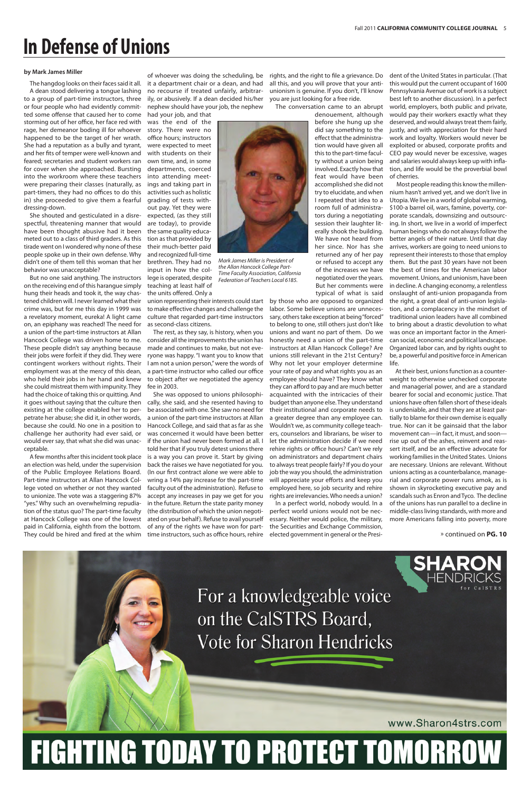The hangdog looks on their faces said it all. A dean stood delivering a tongue lashing to a group of part-time instructors, three or four people who had evidently committed some offense that caused her to come storming out of her office, her face red with rage, her demeanor boding ill for whoever happened to be the target of her wrath. She had a reputation as a bully and tyrant, and her fits of temper were well-known and feared; secretaries and student workers ran for cover when she approached. Bursting into the workroom where these teachers were preparing their classes (naturally, as part-timers, they had no offices to do this in) she proceeded to give them a fearful dressing-down.

She shouted and gesticulated in a disrespectful, threatening manner that would have been thought abusive had it been meted out to a class of third graders. As this tirade went on I wondered why none of these people spoke up in their own defense. Why didn't one of them tell this woman that her behavior was unacceptable?

But no one said anything. The instructors on the receiving end of this harangue simply hung their heads and took it, the way chastened children will. I never learned what their crime was, but for me this day in 1999 was a revelatory moment, eureka! A light came on, an epiphany was reached! The need for a union of the part-time instructors at Allan Hancock College was driven home to me. These people didn't say anything because their jobs were forfeit if they did. They were contingent workers without rights. Their employment was at the mercy of this dean, who held their jobs in her hand and knew she could mistreat them with impunity. They had the choice of taking this or quitting. And it goes without saying that the culture then existing at the college enabled her to perpetrate her abuse; she did it, in other words, because she could. No one in a position to challenge her authority had ever said, or would ever say, that what she did was unacceptable.

A few months after this incident took place an election was held, under the supervision of the Public Employee Relations Board. Part-time instructors at Allan Hancock College voted on whether or not they wanted to unionize. The vote was a staggering 87% "yes." Why such an overwhelming repudiation of the status quo? The part-time faculty at Hancock College was one of the lowest paid in California, eighth from the bottom. They could be hired and fired at the whim it a department chair or a dean, and had no recourse if treated unfairly, arbitrarily, or abusively. If a dean decided his/her nephew should have your job, the nephew

had your job, and that was the end of the story. There were no office hours; instructors were expected to meet with students on their own time, and, in some departments, coerced into attending meetings and taking part in activities such as holistic grading of tests without pay. Yet they were expected, (as they still are today), to provide the same quality education as that provided by their much-better paid and recognized full-time brethren. They had no input in how the college is operated, despite teaching at least half of

the units offered. Only a

to make effective changes and challenge the culture that regarded part-time instructors as second-class citizens.

The rest, as they say, is history, when you consider all the improvements the union has made and continues to make, but not everyone was happy. "I want you to know that I am not a union person," were the words of a part-time instructor who called our office to object after we negotiated the agency fee in 2003.

of whoever was doing the scheduling, be rights, and the right to file a grievance. Do dent of the United States in particular. (That all this, and you will prove that your antiunionism is genuine. If you don't, I'll know you are just looking for a free ride.

She was opposed to unions philosophically, she said, and she resented having to be associated with one. She saw no need for a union of the part-time instructors at Allan Hancock College, and said that as far as she was concerned it would have been better if the union had never been formed at all. I told her that if you truly detest unions there is a way you can prove it. Start by giving back the raises we have negotiated for you. (In our first contract alone we were able to wring a 14% pay increase for the part-time faculty out of the administration). Refuse to accept any increases in pay we get for you in the future. Return the state parity money (the distribution of which the union negotiated on your behalf). Refuse to avail yourself of any of the rights we have won for parttime instructors, such as office hours, rehire The conversation came to an abrupt

union representing their interests could start by those who are opposed to organized labor. Some believe unions are unnecessary, others take exception at being "forced" to belong to one, still others just don't like unions and want no part of them. Do we honestly need a union of the part-time instructors at Allan Hancock College? Are unions still relevant in the 21st Century? Why not let your employer determine your rate of pay and what rights you as an employee should have? They know what they can afford to pay and are much better acquainted with the intricacies of their budget than anyone else. They understand their institutional and corporate needs to a greater degree than any employee can. Wouldn't we, as community college teachers, counselors and librarians, be wiser to let the administration decide if we need rehire rights or office hours? Can't we rely on administrators and department chairs to always treat people fairly? If you do your job the way you should, the administration will appreciate your efforts and keep you employed here, so job security and rehire rights are irrelevancies. Who needs a union?

denouement, although before she hung up she did say something to the effect that the administration would have given all this to the part-time faculty without a union being involved. Exactly how that feat would have been accomplished she did not try to elucidate, and when I repeated that idea to a room full of administrators during a negotiating session their laughter literally shook the building. We have not heard from her since. Nor has she returned any of her pay or refused to accept any of the increases we have negotiated over the years. But her comments were typical of what is said

In a perfect world, nobody would. In a perfect world unions would not be necessary. Neither would police, the military, the Securities and Exchange Commission, elected government in general or the Presi-



*Mark James Miller is President of the Allan Hancock College Part-Time Faculty Association, California Federation of Teachers Local 6185.*





#### **by Mark James Miller**

# **In Defense of Unions**

this would put the current occupant of 1600 Pennsylvania Avenue out of work is a subject best left to another discussion). In a perfect world, employers, both public and private, would pay their workers exactly what they deserved, and would always treat them fairly, justly, and with appreciation for their hard work and loyalty. Workers would never be exploited or abused, corporate profits and CEO pay would never be excessive, wages and salaries would always keep up with inflation, and life would be the proverbial bowl of cherries.

 Most people reading this know the millennium hasn't arrived yet, and we don't live in Utopia. We live in a world of global warming, \$100-a barrel oil, wars, famine, poverty, corporate scandals, downsizing and outsourcing. In short, we live in a world of imperfect human beings who do not always follow the better angels of their nature. Until that day arrives, workers are going to need unions to represent their interests to those that employ them. But the past 30 years have not been the best of times for the American labor movement. Unions, and unionism, have been in decline. A changing economy, a relentless onslaught of anti-union propaganda from the right, a great deal of anti-union legislation, and a complacency in the mindset of traditional union leaders have all combined to bring about a drastic devolution to what was once an important factor in the American social, economic and political landscape. Organized labor can, and by rights ought to be, a powerful and positive force in American life.

At their best, unions function as a counterweight to otherwise unchecked corporate and managerial power, and are a standard bearer for social and economic justice. That unions have often fallen short of these ideals is undeniable, and that they are at least partially to blame for their own demise is equally true. Nor can it be gainsaid that the labor movement can—in fact, it must, and soon rise up out of the ashes, reinvent and reassert itself, and be an effective advocate for working families in the United States. Unions are necessary. Unions are relevant. Without unions acting as a counterbalance, managerial and corporate power runs amok, as is shown in skyrocketing executive pay and scandals such as Enron and Tyco. The decline of the unions has run parallel to a decline in middle-class living standards, with more and more Americans falling into poverty, more

» continued on **PG. 10**